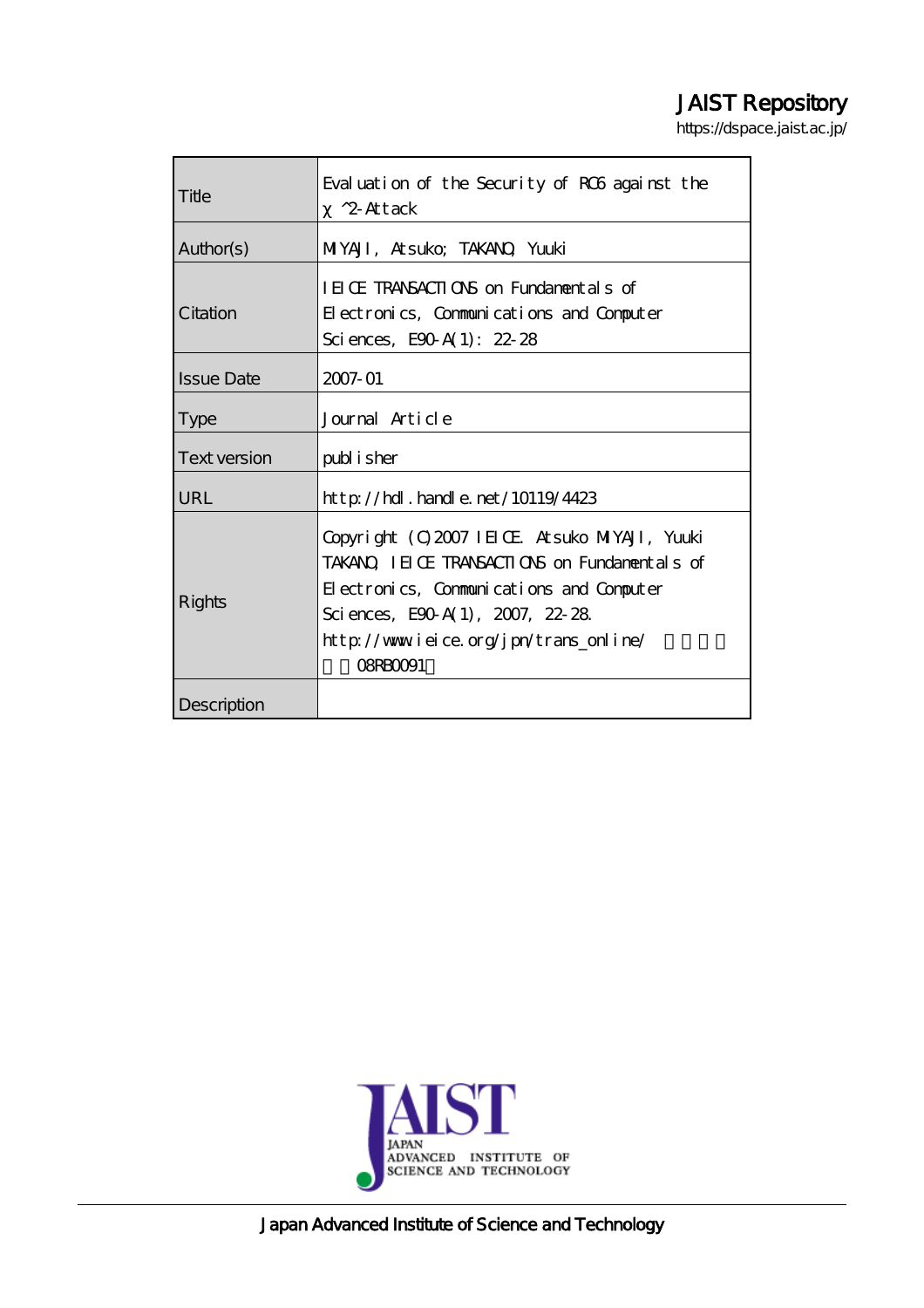## JAIST Repository

https://dspace.jaist.ac.jp/

| Title             | Evaluation of the Security of ROS against the<br>$^2$ Attack                                                                                                                                                                              |
|-------------------|-------------------------------------------------------------------------------------------------------------------------------------------------------------------------------------------------------------------------------------------|
| Author(s)         | MYAJI, Atsuko; TAKANO, Yuuki                                                                                                                                                                                                              |
| Citation          | IEICE TRANSACTIONS on Fundamentals of<br>Electronics, Communications and Computer<br>Sciences, E90 A(1): $22.28$                                                                                                                          |
| <b>Issue Date</b> | 2007-01                                                                                                                                                                                                                                   |
| <b>Type</b>       | Journal Article                                                                                                                                                                                                                           |
| Text version      | publisher                                                                                                                                                                                                                                 |
| URL               | $http$ // $rdl$ . handle. net/10119/4423                                                                                                                                                                                                  |
| Rights            | Copyright (C) 2007 IEICE Atsuko MIYAJI, Yuuki<br>TAKANO IEICE TRANSACTIONS on Fundamentals of<br>Electronics, Communications and Computer<br>Sciences, E90 A(1), 2007, 22-28<br>http://www.ieice.org/jpn/trans_online/<br><b>OSRBOO91</b> |
| Description       |                                                                                                                                                                                                                                           |



Japan Advanced Institute of Science and Technology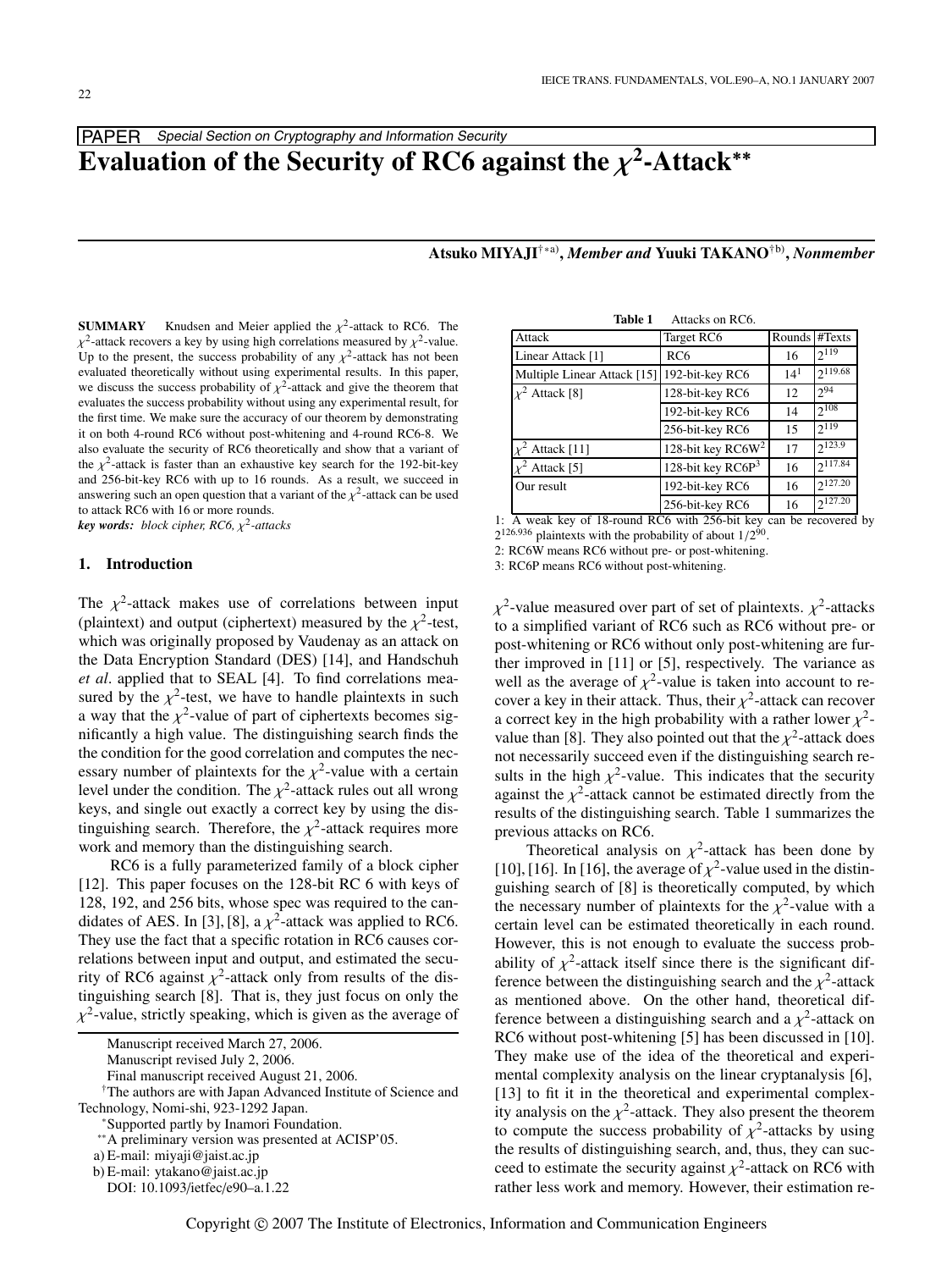## PAPER Special Section on Cryptography and Information Security

# **Evaluation of the Security of RC6 against the**  $\chi^2$ **-Attack<sup>\*\*</sup>**

**Atsuko MIYAJI**†∗a)**,** *Member and* **Yuuki TAKANO**†b)**,** *Nonmember*

**SUMMARY** Knudsen and Meier applied the  $\chi^2$ -attack to RC6. The  $\chi^2$ -attack recovers a key by using high correlations measured by  $\chi^2$ -value. Up to the present, the success probability of any  $\chi^2$ -attack has not been evaluated theoretically without using experimental results. In this paper, we discuss the success probability of  $\chi^2$ -attack and give the theorem that evaluates the success probability without using any experimental result, for the first time. We make sure the accuracy of our theorem by demonstrating it on both 4-round RC6 without post-whitening and 4-round RC6-8. We also evaluate the security of RC6 theoretically and show that a variant of the  $\chi^2$ -attack is faster than an exhaustive key search for the 192-bit-key and 256-bit-key RC6 with up to 16 rounds. As a result, we succeed in answering such an open question that a variant of the  $\chi^2$ -attack can be used to attack RC6 with 16 or more rounds.

 $key$  *words: block cipher, RC6,*  $\chi^2$ -attacks

## **1. Introduction**

The  $\chi^2$ -attack makes use of correlations between input (plaintext) and output (ciphertext) measured by the  $\chi^2$ -test, which was originally proposed by Vaudenay as an attack on the Data Encryption Standard (DES) [14], and Handschuh *et al*. applied that to SEAL [4]. To find correlations measured by the  $\chi^2$ -test, we have to handle plaintexts in such a way that the  $\chi^2$ -value of part of ciphertexts becomes significantly a high value. The distinguishing search finds the the condition for the good correlation and computes the necessary number of plaintexts for the  $\chi^2$ -value with a certain level under the condition. The  $\chi^2$ -attack rules out all wrong keys, and single out exactly a correct key by using the distinguishing search. Therefore, the  $\chi^2$ -attack requires more work and memory than the distinguishing search.

RC6 is a fully parameterized family of a block cipher [12]. This paper focuses on the 128-bit RC 6 with keys of 128, 192, and 256 bits, whose spec was required to the candidates of AES. In [3], [8], a  $\chi^2$ -attack was applied to RC6. They use the fact that a specific rotation in RC6 causes correlations between input and output, and estimated the security of RC6 against  $\chi^2$ -attack only from results of the distinguishing search [8]. That is, they just focus on only the  $\chi^2$ -value, strictly speaking, which is given as the average of

Manuscript received March 27, 2006.

Manuscript revised July 2, 2006.

†The authors are with Japan Advanced Institute of Science and Technology, Nomi-shi, 923-1292 Japan. \*Supported partly by Inamori Foundation.

∗∗A preliminary version was presented at ACISP'05.

| Table 1                     | Attacks on RC6.               |               |              |
|-----------------------------|-------------------------------|---------------|--------------|
| Attack                      | Target RC6                    | Rounds #Texts |              |
| Linear Attack [1]           | RC <sub>6</sub>               | 16            | $2^{119}$    |
| Multiple Linear Attack [15] | 192-bit-key RC6               | $14^{1}$      | $2^{119.68}$ |
| $x^2$ Attack [8]            | 128-bit-key RC6               | 12            | $2^{94}$     |
|                             | 192-bit-key RC6               | 14            | $2^{108}$    |
|                             | 256-bit-key RC6               | 15            | $2^{119}$    |
| $\chi^2$ Attack [11]        | 128-bit key RC6W <sup>2</sup> | 17            | $2^{123.9}$  |
| Attack [5]                  | 128-bit key $R C6P3$          | 16            | $2^{117.84}$ |
| Our result                  | 192-bit-key RC6               | 16            | $2^{127.20}$ |
|                             | 256-bit-key RC6               | 16            | $2^{127.20}$ |

1: A weak key of 18-round RC6 with 256-bit key can be recovered by  $2^{126.936}$  plaintexts with the probability of about  $1/2^{90}$ .

2: RC6W means RC6 without pre- or post-whitening.

3: RC6P means RC6 without post-whitening.

 $\chi^2$ -value measured over part of set of plaintexts.  $\chi^2$ -attacks to a simplified variant of RC6 such as RC6 without pre- or post-whitening or RC6 without only post-whitening are further improved in [11] or [5], respectively. The variance as well as the average of  $\chi^2$ -value is taken into account to recover a key in their attack. Thus, their  $\chi^2$ -attack can recover a correct key in the high probability with a rather lower  $\chi^2$ value than [8]. They also pointed out that the  $\chi^2$ -attack does not necessarily succeed even if the distinguishing search results in the high  $\chi^2$ -value. This indicates that the security against the  $\chi^2$ -attack cannot be estimated directly from the results of the distinguishing search. Table 1 summarizes the previous attacks on RC6.

Theoretical analysis on  $\chi^2$ -attack has been done by [10], [16]. In [16], the average of  $\chi^2$ -value used in the distinguishing search of [8] is theoretically computed, by which the necessary number of plaintexts for the  $\chi^2$ -value with a certain level can be estimated theoretically in each round. However, this is not enough to evaluate the success probability of  $\chi^2$ -attack itself since there is the significant difference between the distinguishing search and the  $\chi^2$ -attack as mentioned above. On the other hand, theoretical difference between a distinguishing search and a  $\chi^2$ -attack on RC6 without post-whitening [5] has been discussed in [10]. They make use of the idea of the theoretical and experimental complexity analysis on the linear cryptanalysis [6], [13] to fit it in the theoretical and experimental complexity analysis on the  $\chi^2$ -attack. They also present the theorem to compute the success probability of  $\chi^2$ -attacks by using the results of distinguishing search, and, thus, they can succeed to estimate the security against  $\chi^2$ -attack on RC6 with rather less work and memory. However, their estimation re-

Final manuscript received August 21, 2006.

a) E-mail: miyaji@jaist.ac.jp

b) E-mail: ytakano@jaist.ac.jp

DOI: 10.1093/ietfec/e90–a.1.22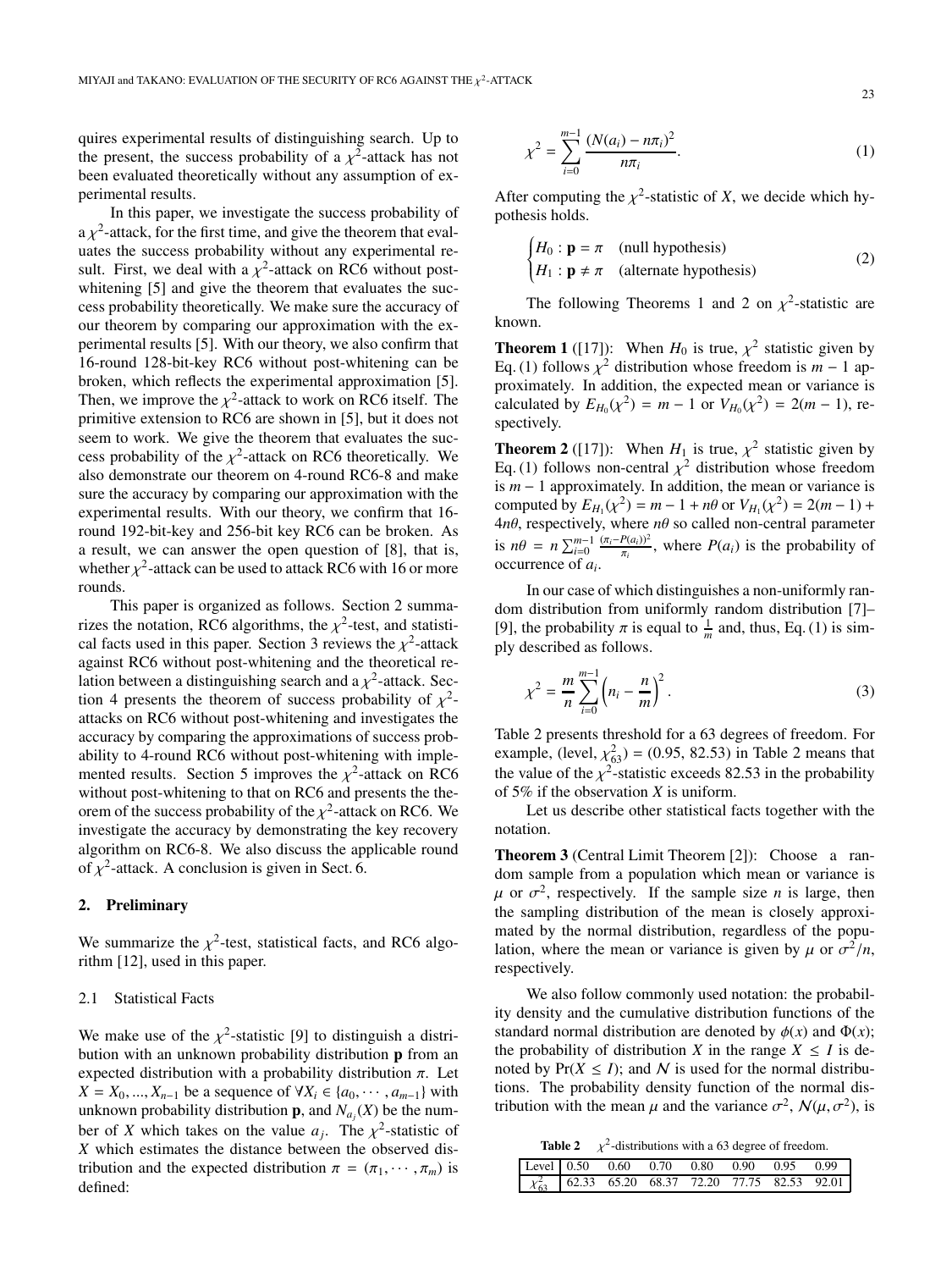quires experimental results of distinguishing search. Up to the present, the success probability of a  $\chi^2$ -attack has not been evaluated theoretically without any assumption of experimental results.

In this paper, we investigate the success probability of  $a \chi^2$ -attack, for the first time, and give the theorem that evaluates the success probability without any experimental result. First, we deal with a  $\chi^2$ -attack on RC6 without postwhitening [5] and give the theorem that evaluates the success probability theoretically. We make sure the accuracy of our theorem by comparing our approximation with the experimental results [5]. With our theory, we also confirm that 16-round 128-bit-key RC6 without post-whitening can be broken, which reflects the experimental approximation [5]. Then, we improve the  $\chi^2$ -attack to work on RC6 itself. The primitive extension to RC6 are shown in [5], but it does not seem to work. We give the theorem that evaluates the success probability of the  $\chi^2$ -attack on RC6 theoretically. We also demonstrate our theorem on 4-round RC6-8 and make sure the accuracy by comparing our approximation with the experimental results. With our theory, we confirm that 16 round 192-bit-key and 256-bit key RC6 can be broken. As a result, we can answer the open question of [8], that is, whether  $\chi^2$ -attack can be used to attack RC6 with 16 or more rounds.

This paper is organized as follows. Section 2 summarizes the notation, RC6 algorithms, the  $\chi^2$ -test, and statistical facts used in this paper. Section 3 reviews the  $\chi^2$ -attack against RC6 without post-whitening and the theoretical relation between a distinguishing search and a  $\chi^2$ -attack. Section 4 presents the theorem of success probability of  $\chi^2$ attacks on RC6 without post-whitening and investigates the accuracy by comparing the approximations of success probability to 4-round RC6 without post-whitening with implemented results. Section 5 improves the  $\chi^2$ -attack on RC6 without post-whitening to that on RC6 and presents the theorem of the success probability of the  $\chi^2$ -attack on RC6. We investigate the accuracy by demonstrating the key recovery algorithm on RC6-8. We also discuss the applicable round of  $\chi^2$ -attack. A conclusion is given in Sect. 6.

## **2. Preliminary**

We summarize the  $\chi^2$ -test, statistical facts, and RC6 algorithm [12], used in this paper.

## 2.1 Statistical Facts

We make use of the  $\chi^2$ -statistic [9] to distinguish a distribution with an unknown probability distribution **p** from an expected distribution with a probability distribution  $\pi$ . Let *X* = *X*<sub>0</sub>, ..., *X*<sub>*n*−1</sub> be a sequence of ∀*X*<sub>*i*</sub> ∈ {*a*<sub>0</sub>, ···, *a*<sub>*m*−1</sub>} with unknown probability distribution **p**, and  $N_{a_j}(X)$  be the number of *X* which takes on the value  $a_i$ . The  $\chi^2$ -statistic of *X* which estimates the distance between the observed distribution and the expected distribution  $\pi = (\pi_1, \dots, \pi_m)$  is defined:

$$
\chi^2 = \sum_{i=0}^{m-1} \frac{(N(a_i) - n\pi_i)^2}{n\pi_i}.
$$
 (1)

After computing the  $\chi^2$ -statistic of *X*, we decide which hypothesis holds.

$$
\begin{cases}\nH_0: \mathbf{p} = \pi \quad \text{(null hypothesis)} \\
H_1: \mathbf{p} \neq \pi \quad \text{(alternate hypothesis)}\n\end{cases} (2)
$$

The following Theorems 1 and 2 on  $\chi^2$ -statistic are known.

**Theorem 1** ([17]): When  $H_0$  is true,  $\chi^2$  statistic given by Eq. (1) follows  $\chi^2$  distribution whose freedom is *m* − 1 approximately. In addition, the expected mean or variance is calculated by  $E_{H_0}(\chi^2) = m - 1$  or  $V_{H_0}(\chi^2) = 2(m - 1)$ , respectively.

**Theorem 2** ([17]): When  $H_1$  is true,  $\chi^2$  statistic given by Eq. (1) follows non-central  $\chi^2$  distribution whose freedom is *m* − 1 approximately. In addition, the mean or variance is computed by  $E_{H_1}(\chi^2) = m - 1 + n\theta$  or  $V_{H_1}(\chi^2) = 2(m - 1) +$ 4*n*θ, respectively, where *n*θ so called non-central parameter is  $n\theta = n \sum_{i=0}^{m-1} \frac{(\pi_i - P(a_i))^2}{\pi_i}$ , where  $P(a_i)$  is the probability of occurrence of *ai*.

In our case of which distinguishes a non-uniformly random distribution from uniformly random distribution [7]– [9], the probability  $\pi$  is equal to  $\frac{1}{m}$  and, thus, Eq. (1) is simply described as follows.

$$
\chi^2 = \frac{m}{n} \sum_{i=0}^{m-1} \left( n_i - \frac{n}{m} \right)^2.
$$
 (3)

Table 2 presents threshold for a 63 degrees of freedom. For example, (level,  $\chi_{63}^2$ ) = (0.95, 82.53) in Table 2 means that the value of the  $\chi^2$ -statistic exceeds 82.53 in the probability of 5% if the observation *X* is uniform.

Let us describe other statistical facts together with the notation.

**Theorem 3** (Central Limit Theorem [2]): Choose a random sample from a population which mean or variance is  $\mu$  or  $\sigma^2$ , respectively. If the sample size *n* is large, then the sampling distribution of the mean is closely approximated by the normal distribution, regardless of the population, where the mean or variance is given by  $\mu$  or  $\sigma^2/n$ , respectively.

We also follow commonly used notation: the probability density and the cumulative distribution functions of the standard normal distribution are denoted by  $\phi(x)$  and  $\Phi(x)$ ; the probability of distribution *X* in the range  $X \leq I$  is denoted by  $Pr(X \leq I)$ ; and N is used for the normal distributions. The probability density function of the normal distribution with the mean  $\mu$  and the variance  $\sigma^2$ ,  $\mathcal{N}(\mu, \sigma^2)$ , is

**Table 2**  $\chi^2$ -distributions with a 63 degree of freedom.

|  |  |  | Level 0.50 0.60 0.70 0.80 0.90 0.95 0.99                |
|--|--|--|---------------------------------------------------------|
|  |  |  | $\chi_{63}^2$ 62.33 65.20 68.37 72.20 77.75 82.53 92.01 |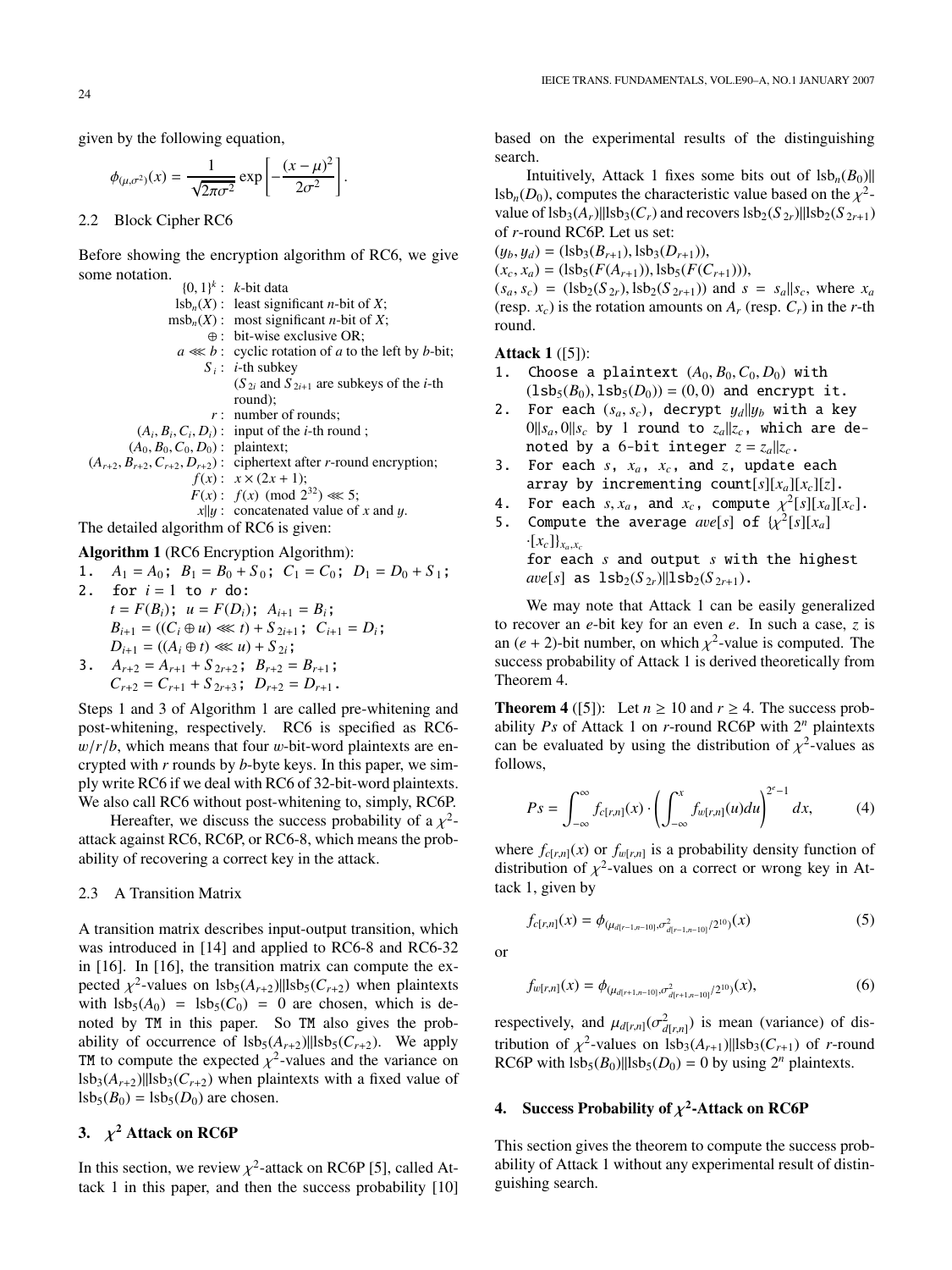given by the following equation,

$$
\phi_{(\mu,\sigma^2)}(x) = \frac{1}{\sqrt{2\pi\sigma^2}} \exp\left[-\frac{(x-\mu)^2}{2\sigma^2}\right].
$$

2.2 Block Cipher RC6

Before showing the encryption algorithm of RC6, we give some notation.

|                                         | $\{0, 1\}^k$ : k-bit data                                                             |
|-----------------------------------------|---------------------------------------------------------------------------------------|
|                                         | $\text{lsb}_n(X)$ : least significant <i>n</i> -bit of X;                             |
|                                         | $msbn(X)$ : most significant <i>n</i> -bit of X;                                      |
|                                         | $\oplus$ : bit-wise exclusive OR;                                                     |
|                                         | $a \ll b$ : cyclic rotation of a to the left by b-bit;                                |
|                                         | $S_i$ : <i>i</i> -th subkey                                                           |
|                                         | $(S_{2i}$ and $S_{2i+1}$ are subkeys of the <i>i</i> -th                              |
|                                         | round);                                                                               |
|                                         | $r$ : number of rounds:                                                               |
|                                         | $(A_i, B_i, C_i, D_i)$ : input of the <i>i</i> -th round;                             |
| $(A_0, B_0, C_0, D_0)$ : plaintext;     |                                                                                       |
|                                         | $(A_{r+2}, B_{r+2}, C_{r+2}, D_{r+2})$ : ciphertext after <i>r</i> -round encryption; |
|                                         | $f(x): x \times (2x + 1);$                                                            |
|                                         | $F(x)$ : $f(x)$ (mod $2^{32}$ ) $\ll 5$ ;                                             |
|                                         | $x  y$ : concatenated value of x and y.                                               |
| The detailed algorithm of RC6 is given: |                                                                                       |

## **Algorithm 1** (RC6 Encryption Algorithm):

1.  $A_1 = A_0$ ;  $B_1 = B_0 + S_0$ ;  $C_1 = C_0$ ;  $D_1 = D_0 + S_1$ ; 2. for  $i = 1$  to  $r$  do:  $t = F(B_i)$ ;  $u = F(D_i)$ ;  $A_{i+1} = B_i$ ;  $B_{i+1} = ((C_i \oplus u) \ll t) + S_{2i+1}$ ;  $C_{i+1} = D_i$ ;  $D_{i+1} = ((A_i \oplus t) \ll u) + S_{2i};$ 

3. 
$$
A_{r+2} = A_{r+1} + S_{2r+2}
$$
;  $B_{r+2} = B_{r+1}$ ;  
\n $C_{r+2} = C_{r+1} + S_{2r+3}$ ;  $D_{r+2} = D_{r+1}$ .

Steps 1 and 3 of Algorithm 1 are called pre-whitening and post-whitening, respectively. RC6 is specified as RC6  $w/r/b$ , which means that four w-bit-word plaintexts are encrypted with *r* rounds by *b*-byte keys. In this paper, we simply write RC6 if we deal with RC6 of 32-bit-word plaintexts. We also call RC6 without post-whitening to, simply, RC6P.

Hereafter, we discuss the success probability of a  $\chi^2$ attack against RC6, RC6P, or RC6-8, which means the probability of recovering a correct key in the attack.

#### 2.3 A Transition Matrix

A transition matrix describes input-output transition, which was introduced in [14] and applied to RC6-8 and RC6-32 in [16]. In [16], the transition matrix can compute the expected  $\chi^2$ -values on lsb<sub>5</sub>( $A_{r+2}$ )||lsb<sub>5</sub>( $C_{r+2}$ ) when plaintexts with  $\text{lsb}_5(A_0) = \text{lsb}_5(C_0) = 0$  are chosen, which is denoted by TM in this paper. So TM also gives the probability of occurrence of  $\text{lsb}_5(A_{r+2})$ || $\text{lsb}_5(C_{r+2})$ . We apply TM to compute the expected  $\chi^2$ -values and the variance on  $\frac{1}{3}$ lsb<sub>3</sub>( $A_{r+2}$ )||lsb<sub>3</sub>( $C_{r+2}$ ) when plaintexts with a fixed value of  $\text{lsb}_5(B_0) = \text{lsb}_5(D_0)$  are chosen.

## **3.**  $\chi^2$  **Attack on RC6P**

In this section, we review  $\chi^2$ -attack on RC6P [5], called Attack 1 in this paper, and then the success probability [10] based on the experimental results of the distinguishing search.

Intuitively, Attack 1 fixes some bits out of  $\| \text{sb}_n(B_0) \|$ lsb<sub>n</sub>( $D_0$ ), computes the characteristic value based on the  $\chi^2$ value of  $\text{lsb}_3(A_r)$ || $\text{lsb}_3(C_r)$  and recovers  $\text{lsb}_2(S_{2r})$ || $\text{lsb}_2(S_{2r+1})$ of *r*-round RC6P. Let us set:

 $(y_b, y_d) = (\text{lsb}_3(B_{r+1}), \text{lsb}_3(D_{r+1})),$ 

 $(x_c, x_a) =$  (lsb<sub>5</sub>(*F*( $A_{r+1}$ )), lsb<sub>5</sub>(*F*( $C_{r+1}$ ))),

 $(s_a, s_c) = (\text{lsb}_2(S_{2r}), \text{lsb}_2(S_{2r+1}))$  and  $s = s_a||s_c$ , where  $x_a$ (resp.  $x_c$ ) is the rotation amounts on  $A_r$  (resp.  $C_r$ ) in the *r*-th round.

## **Attack 1** ([5]):

- 1. Choose a plaintext  $(A_0, B_0, C_0, D_0)$  with  $(1sb_5(B_0), 1sb_5(D_0)) = (0, 0)$  and encrypt it.
- 2. For each  $(s_a, s_c)$ , decrypt  $y_d||y_b$  with a key  $0||s_a, 0||s_c$  by 1 round to  $z_a||z_c$ , which are denoted by a 6-bit integer  $z = z_a || z_c$ .
- 3. For each *s*, *xa*, *xc*, and *z*, update each array by incrementing count[ $s$ ][ $x_a$ ][ $x_c$ ][ $z$ ].
- 4. For each  $s, x_a$ , and  $x_c$ , compute  $\chi^2[s][x_a][x_c]$ .
- 5. Compute the average  $ave[s]$  of  $\{\chi^2[s][x_a]$  $\cdot$ [ $x_c$ ] $\}$ <sub>xa</sub> $\,x_c$ for each *s* and output *s* with the highest  $ave[s]$  as  $1$ sb<sub>2</sub>(*S*<sub>2*r*</sub>)||lsb<sub>2</sub>(*S*<sub>2*r*+1</sub>).

We may note that Attack 1 can be easily generalized to recover an *e*-bit key for an even *e*. In such a case, *z* is an  $(e + 2)$ -bit number, on which  $\chi^2$ -value is computed. The success probability of Attack 1 is derived theoretically from Theorem 4.

**Theorem 4** ([5]): Let  $n \ge 10$  and  $r \ge 4$ . The success probability *Ps* of Attack 1 on *r*-round RC6P with 2*<sup>n</sup>* plaintexts can be evaluated by using the distribution of  $\chi^2$ -values as follows,

$$
Ps = \int_{-\infty}^{\infty} f_{c[r,n]}(x) \cdot \left( \int_{-\infty}^{x} f_{w[r,n]}(u) du \right)^{2^{e}-1} dx, \tag{4}
$$

where  $f_{c[r,n]}(x)$  or  $f_{w[r,n]}$  is a probability density function of distribution of  $\chi^2$ -values on a correct or wrong key in Attack 1, given by

$$
f_{c[r,n]}(x) = \phi_{(\mu_{d[r-1,n-10]},\sigma^2_{d[r-1,n-10]}/2^{10})}(x)
$$
\n(5)

or

$$
f_{w[r,n]}(x) = \phi_{(\mu_{d[r+1,n-10]},\sigma^2_{d[r+1,n-10]}/2^{10})}(x),
$$
\n(6)

respectively, and  $\mu_{d[r,n]}(\sigma_{d[r,n]}^2)$  is mean (variance) of distribution of  $\chi^2$ -values on lsb<sub>3</sub>( $A_{r+1}$ )||lsb<sub>3</sub>( $C_{r+1}$ ) of *r*-round RC6P with  $\text{lsb}_5(B_0)$ || $\text{lsb}_5(D_0) = 0$  by using  $2^n$  plaintexts.

## **4. Success Probability of** χ**2-Attack on RC6P**

This section gives the theorem to compute the success probability of Attack 1 without any experimental result of distinguishing search.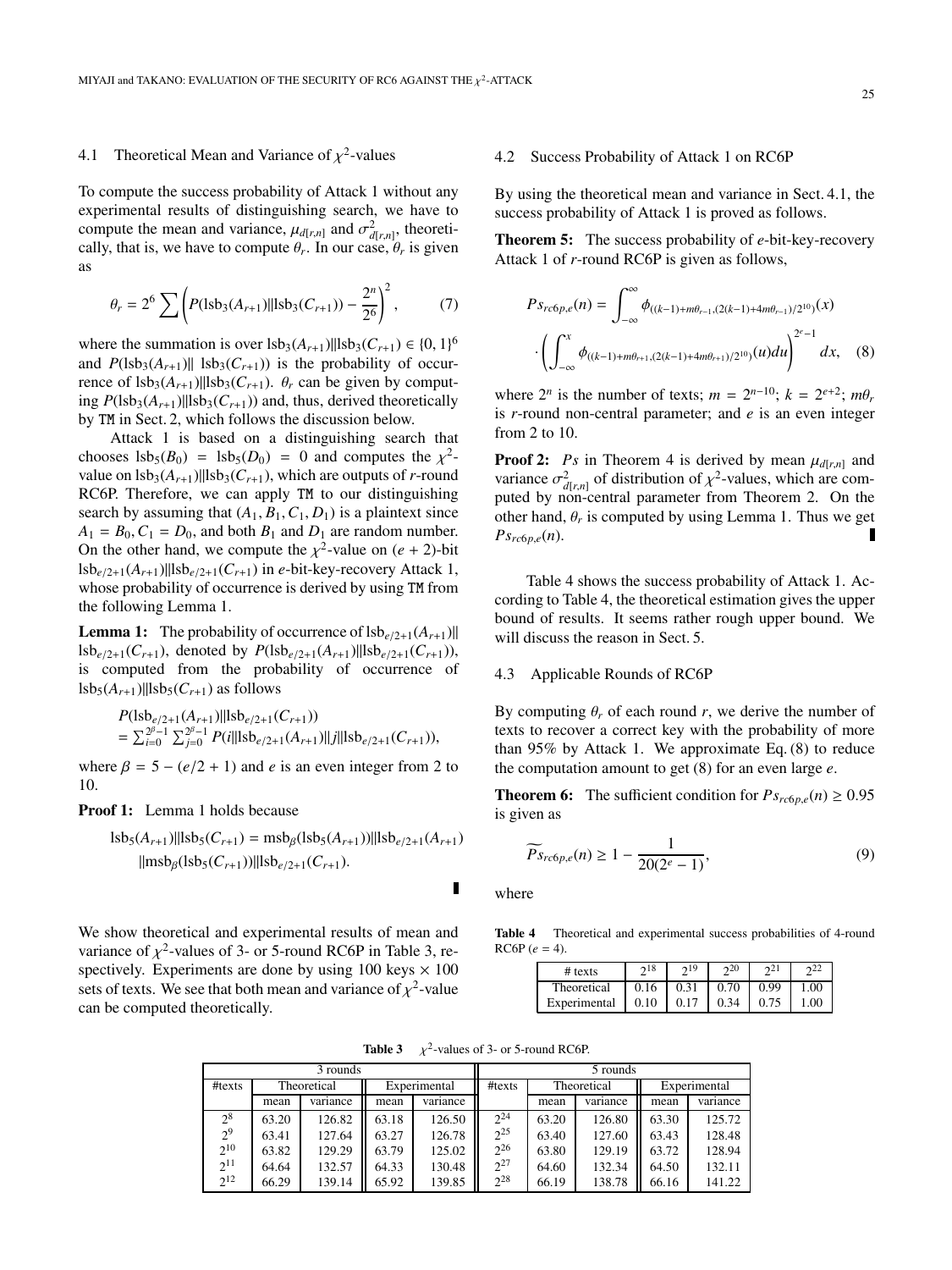## 4.1 Theoretical Mean and Variance of  $\chi^2$ -values

To compute the success probability of Attack 1 without any experimental results of distinguishing search, we have to compute the mean and variance,  $\mu_{d[r,n]}$  and  $\sigma^2_{d[r,n]}$ , theoretically, that is, we have to compute  $\theta_r$ . In our case,  $\theta_r$  is given as

$$
\theta_r = 2^6 \sum \left( P(\text{lsb}_3(A_{r+1}) \| \text{lsb}_3(C_{r+1})) - \frac{2^n}{2^6} \right)^2, \tag{7}
$$

where the summation is over  $\text{lsb}_3(A_{r+1})||\text{lsb}_3(C_{r+1}) \in \{0, 1\}^6$ and  $P(1s\mathbf{b}_3(A_{r+1})|| \mathbf{1} s\mathbf{b}_3(C_{r+1}))$  is the probability of occurrence of  $\text{lsb}_3(A_{r+1})$ || $\text{lsb}_3(C_{r+1})$ .  $\theta_r$  can be given by computing  $P(1sb_3(A_{r+1})||lsb_3(C_{r+1}))$  and, thus, derived theoretically by TM in Sect. 2, which follows the discussion below.

Attack 1 is based on a distinguishing search that chooses  $\text{lsb}_5(B_0) = \text{lsb}_5(D_0) = 0$  and computes the  $\chi^2$ value on  $\text{lsb}_3(A_{r+1})$ || $\text{lsb}_3(C_{r+1})$ , which are outputs of *r*-round RC6P. Therefore, we can apply TM to our distinguishing search by assuming that  $(A_1, B_1, C_1, D_1)$  is a plaintext since  $A_1 = B_0, C_1 = D_0$ , and both  $B_1$  and  $D_1$  are random number. On the other hand, we compute the  $\chi^2$ -value on  $(e + 2)$ -bit  $lsb_{e/2+1}(A_{r+1})||lsb_{e/2+1}(C_{r+1})$  in *e*-bit-key-recovery Attack 1, whose probability of occurrence is derived by using TM from the following Lemma 1.

**Lemma 1:** The probability of occurrence of  $\frac{1}{s} b_{e/2+1}(A_{r+1})$  $lsb_{e/2+1}(C_{r+1}),$  denoted by  $P(lsb_{e/2+1}(A_{r+1})||lsb_{e/2+1}(C_{r+1})),$ is computed from the probability of occurrence of  $lsb<sub>5</sub>(A<sub>r+1</sub>)||lsb<sub>5</sub>(C<sub>r+1</sub>)$  as follows

$$
P(1 \text{sb}_{e/2+1}(A_{r+1})||1 \text{sb}_{e/2+1}(C_{r+1}))
$$
  
=  $\sum_{i=0}^{2^{\beta}-1} \sum_{j=0}^{2^{\beta}-1} P(i||1 \text{sb}_{e/2+1}(A_{r+1})||j||1 \text{sb}_{e/2+1}(C_{r+1})),$ 

where  $\beta = 5 - (e/2 + 1)$  and *e* is an even integer from 2 to 10.

**Proof 1:** Lemma 1 holds because

$$
lsb5(Ar+1)||lsb5(Cr+1) = msb\beta(lsb5(Ar+1))||lsbe/2+1(Ar+1)||msb\beta(lsb5(Cr+1))||lsbe/2+1(Cr+1).
$$

We show theoretical and experimental results of mean and variance of  $\chi^2$ -values of 3- or 5-round RC6P in Table 3, respectively. Experiments are done by using  $100 \text{ keys} \times 100$ sets of texts. We see that both mean and variance of  $\chi^2$ -value can be computed theoretically.

### 4.2 Success Probability of Attack 1 on RC6P

By using the theoretical mean and variance in Sect. 4.1, the success probability of Attack 1 is proved as follows.

**Theorem 5:** The success probability of *e*-bit-key-recovery Attack 1 of *r*-round RC6P is given as follows,

$$
P_{^{c6p,e}}(n) = \int_{-\infty}^{\infty} \phi_{((k-1)+m\theta_{r-1},(2(k-1)+4m\theta_{r-1})/2^{10})}(x)
$$

$$
\cdot \left( \int_{-\infty}^{x} \phi_{((k-1)+m\theta_{r+1},(2(k-1)+4m\theta_{r+1})/2^{10})}(u) du \right)^{2^{e}-1} dx, \quad (8)
$$

where  $2^n$  is the number of texts;  $m = 2^{n-10}$ ;  $k = 2^{e+2}$ ;  $m\theta_r$ is *r*-round non-central parameter; and *e* is an even integer from 2 to 10.

**Proof 2:** *Ps* in Theorem 4 is derived by mean  $\mu_{d[r,n]}$  and variance  $\sigma_{d[r,n]}^2$  of distribution of  $\chi^2$ -values, which are computed by non-central parameter from Theorem 2. On the other hand,  $\theta_r$  is computed by using Lemma 1. Thus we get  $Ps_{rc6p,e}(n)$ . Г

Table 4 shows the success probability of Attack 1. According to Table 4, the theoretical estimation gives the upper bound of results. It seems rather rough upper bound. We will discuss the reason in Sect. 5.

## 4.3 Applicable Rounds of RC6P

By computing  $\theta_r$  of each round *r*, we derive the number of texts to recover a correct key with the probability of more than 95% by Attack 1. We approximate Eq. (8) to reduce the computation amount to get (8) for an even large *e*.

**Theorem 6:** The sufficient condition for  $Ps_{rc6p,e}(n) \ge 0.95$ is given as

$$
\widetilde{Ps}_{rc6p,e}(n) \ge 1 - \frac{1}{20(2^e - 1)},\tag{9}
$$

where

Table 4 Theoretical and experimental success probabilities of 4-round  $RCGP (e = 4).$ 

| $#$ texts    | 218  | 219  | $\gamma$ <sup>20</sup> |      |          |
|--------------|------|------|------------------------|------|----------|
| Theoretical  | 0.16 | 0.31 | 0.70                   | 0.99 | $1.00 -$ |
| Experimental | 0.10 | 0.17 | 0.34                   | 0.75 | - 00-    |

**Table 3**  $\chi^2$ -values of 3- or 5-round RC6P.

| 3 rounds       |       |             |       |              |          |       | 5 rounds    |       |              |
|----------------|-------|-------------|-------|--------------|----------|-------|-------------|-------|--------------|
| #texts         |       | Theoretical |       | Experimental |          |       | Theoretical |       | Experimental |
|                | mean  | variance    | mean  | variance     |          | mean  | variance    | mean  | variance     |
| $2^8$          | 63.20 | 126.82      | 63.18 | 126.50       | $2^{24}$ | 63.20 | 126.80      | 63.30 | 125.72       |
| 2 <sup>9</sup> | 63.41 | 127.64      | 63.27 | 126.78       | $2^{25}$ | 63.40 | 127.60      | 63.43 | 128.48       |
| $2^{10}$       | 63.82 | 129.29      | 63.79 | 125.02       | $2^{26}$ | 63.80 | 129.19      | 63.72 | 128.94       |
| $2^{11}$       | 64.64 | 132.57      | 64.33 | 130.48       | $2^{27}$ | 64.60 | 132.34      | 64.50 | 132.11       |
| $2^{12}$       | 66.29 | 139.14      | 65.92 | 139.85       | $2^{28}$ | 66.19 | 138.78      | 66.16 | 141.22       |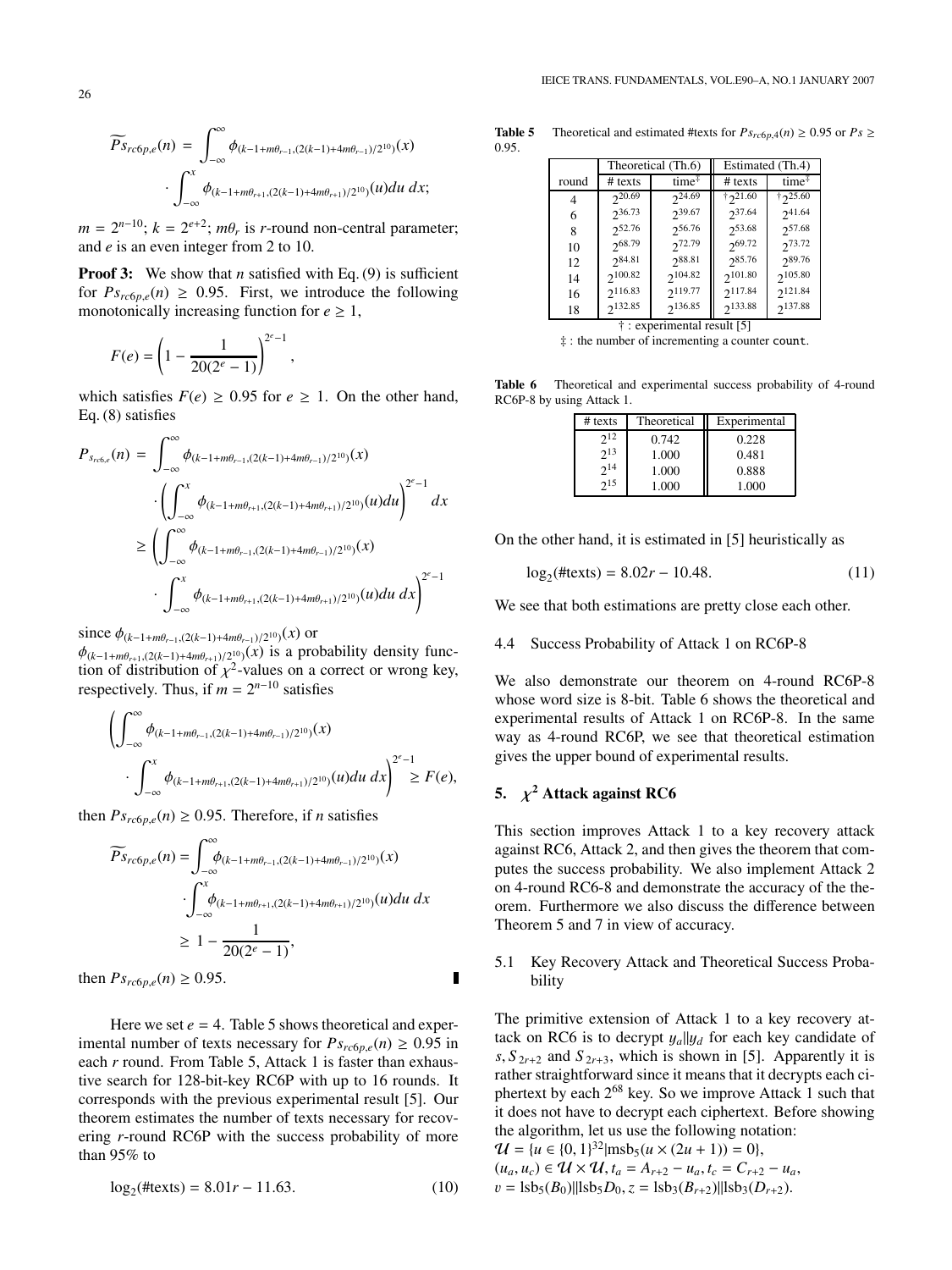$$
\widetilde{Ps}_{rc6p,e}(n) = \int_{-\infty}^{\infty} \phi_{(k-1+m\theta_{r-1}, (2(k-1)+4m\theta_{r-1})/2^{10})}(x)
$$

$$
\cdot \int_{-\infty}^{x} \phi_{(k-1+m\theta_{r+1}, (2(k-1)+4m\theta_{r+1})/2^{10})}(u) du dx;
$$

 $m = 2^{n-10}$ ;  $k = 2^{e+2}$ ;  $m\theta_r$  is *r*-round non-central parameter; and *e* is an even integer from 2 to 10.

**Proof 3:** We show that *n* satisfied with Eq. (9) is sufficient for  $Ps_{rc6p,e}(n) \geq 0.95$ . First, we introduce the following monotonically increasing function for  $e \geq 1$ ,

$$
F(e) = \left(1 - \frac{1}{20(2^e - 1)}\right)^{2^e - 1},
$$

<sup>∞</sup>

which satisfies  $F(e) \ge 0.95$  for  $e \ge 1$ . On the other hand, Eq. (8) satisfies

$$
P_{s_{rc6,e}}(n) = \int_{-\infty}^{\infty} \phi_{(k-1+m\theta_{r-1},(2(k-1)+4m\theta_{r-1})/2^{10})}(x)
$$
  

$$
\cdot \left( \int_{-\infty}^{x} \phi_{(k-1+m\theta_{r+1},(2(k-1)+4m\theta_{r+1})/2^{10})}(u) du \right)^{2^{e}-1} dx
$$
  

$$
\geq \left( \int_{-\infty}^{\infty} \phi_{(k-1+m\theta_{r-1},(2(k-1)+4m\theta_{r-1})/2^{10})}(x) \right)^{2^{e}-1}
$$
  

$$
\cdot \int_{-\infty}^{x} \phi_{(k-1+m\theta_{r+1},(2(k-1)+4m\theta_{r+1})/2^{10})}(u) du dx \right)^{2^{e}-1}
$$

since  $\phi_{(k-1+m\theta_{r-1},(2(k-1)+4m\theta_{r-1})/2^{10})}(x)$  or φ(*k*−1+*m*θ*r*+1,(2(*k*−1)+4*m*θ*r*+1)/210)(*x*) is a probability density function of distribution of  $\chi^2$ -values on a correct or wrong key, respectively. Thus, if  $m = 2^{n-10}$  satisfies

$$
\left(\int_{-\infty}^{\infty} \phi_{(k-1+m\theta_{r-1},(2(k-1)+4m\theta_{r-1})/2^{10})}(x)\right.\cdot \int_{-\infty}^x \phi_{(k-1+m\theta_{r+1},(2(k-1)+4m\theta_{r+1})/2^{10})}(u)du\ dx\right)^{2^e-1} \geq F(e),
$$

then  $Ps_{rc6p,e}(n) \ge 0.95$ . Therefore, if *n* satisfies

$$
\widetilde{Ps}_{rc6p,e}(n) = \int_{-\infty}^{\infty} \phi_{(k-1+ m\theta_{r-1}, (2(k-1)+4m\theta_{r-1})/2^{10})}(x)
$$

$$
\cdot \int_{-\infty}^{x} \phi_{(k-1+ m\theta_{r+1}, (2(k-1)+4m\theta_{r+1})/2^{10})}(u) du dx
$$

$$
\geq 1 - \frac{1}{20(2^e - 1)},
$$
then 
$$
Ps_{rc6p,e}(n) \geq 0.95.
$$

Here we set  $e = 4$ . Table 5 shows theoretical and experimental number of texts necessary for  $Ps_{rc6p,e}(n) \ge 0.95$  in each *r* round. From Table 5, Attack 1 is faster than exhaustive search for 128-bit-key RC6P with up to 16 rounds. It corresponds with the previous experimental result [5]. Our theorem estimates the number of texts necessary for recovering *r*-round RC6P with the success probability of more than 95% to

$$
\log_2(\text{#texts}) = 8.01r - 11.63. \tag{10}
$$

**Table 5** Theoretical and estimated #texts for  $Ps_{rc6p,4}(n) \ge 0.95$  or  $Ps \ge$ 0.95.

|       |                                        | Theoretical (Th.6) |              | Estimated (Th.4)                 |  |  |  |  |  |  |
|-------|----------------------------------------|--------------------|--------------|----------------------------------|--|--|--|--|--|--|
| round | $#$ texts                              | time <sup>#</sup>  | $#$ texts    | time <sup><math>\mp</math></sup> |  |  |  |  |  |  |
| 4     | $2^{20.69}$                            | $2^{24.69}$        | †21.60       | †25.60                           |  |  |  |  |  |  |
| 6     | $2^{36.73}$                            | $2^{39.67}$        | $2^{37.64}$  | $2^{41.64}$                      |  |  |  |  |  |  |
| 8     | 252.76                                 | 256.76             | 253.68       | 257.68                           |  |  |  |  |  |  |
| 10    | 268.79                                 | 272.79             | 269.72       | 273.72                           |  |  |  |  |  |  |
| 12    | $2^{84.81}$                            | $2^{88.81}$        | $2^{85.76}$  | 289.76                           |  |  |  |  |  |  |
| 14    | $2^{100.82}$                           | 2104.82            | $2^{101.80}$ | $2^{105.80}$                     |  |  |  |  |  |  |
| 16    | 2116.83                                | 2119.77            | 2117.84      | 2.121.84                         |  |  |  |  |  |  |
| 18    | 2132.85                                | 2136.85            | 2133.88      | 2137.88                          |  |  |  |  |  |  |
|       | <sup>†</sup> : experimental result [5] |                    |              |                                  |  |  |  |  |  |  |

‡ : the number of incrementing a counter count.

Table 6 Theoretical and experimental success probability of 4-round RC6P-8 by using Attack 1.

| $#$ texts | Theoretical | Experimental |
|-----------|-------------|--------------|
| $2^{12}$  | 0.742       | 0.228        |
| $2^{13}$  | 1.000       | 0.481        |
| $2^{14}$  | 1.000       | 0.888        |
| 215       | 1.000       | 1.000        |

On the other hand, it is estimated in [5] heuristically as

$$
\log_2(\text{#texts}) = 8.02r - 10.48. \tag{11}
$$

We see that both estimations are pretty close each other.

4.4 Success Probability of Attack 1 on RC6P-8

We also demonstrate our theorem on 4-round RC6P-8 whose word size is 8-bit. Table 6 shows the theoretical and experimental results of Attack 1 on RC6P-8. In the same way as 4-round RC6P, we see that theoretical estimation gives the upper bound of experimental results.

## **5.**  $\chi^2$  **Attack against RC6**

 $\blacksquare$ 

This section improves Attack 1 to a key recovery attack against RC6, Attack 2, and then gives the theorem that computes the success probability. We also implement Attack 2 on 4-round RC6-8 and demonstrate the accuracy of the theorem. Furthermore we also discuss the difference between Theorem 5 and 7 in view of accuracy.

## 5.1 Key Recovery Attack and Theoretical Success Probability

The primitive extension of Attack 1 to a key recovery attack on RC6 is to decrypt  $y_a||y_d$  for each key candidate of  $s, S_{2r+2}$  and  $S_{2r+3}$ , which is shown in [5]. Apparently it is rather straightforward since it means that it decrypts each ciphertext by each 268 key. So we improve Attack 1 such that it does not have to decrypt each ciphertext. Before showing the algorithm, let us use the following notation:

$$
\mathcal{U} = \{u \in \{0, 1\}^{32} | \text{msb}_5(u \times (2u + 1)) = 0\},\
$$
  
\n
$$
(u_a, u_c) \in \mathcal{U} \times \mathcal{U}, t_a = A_{r+2} - u_a, t_c = C_{r+2} - u_a,
$$
  
\n
$$
v = \text{lsb}_5(B_0) || \text{lsb}_5 D_0, z = \text{lsb}_3(B_{r+2}) || \text{lsb}_3(D_{r+2}).
$$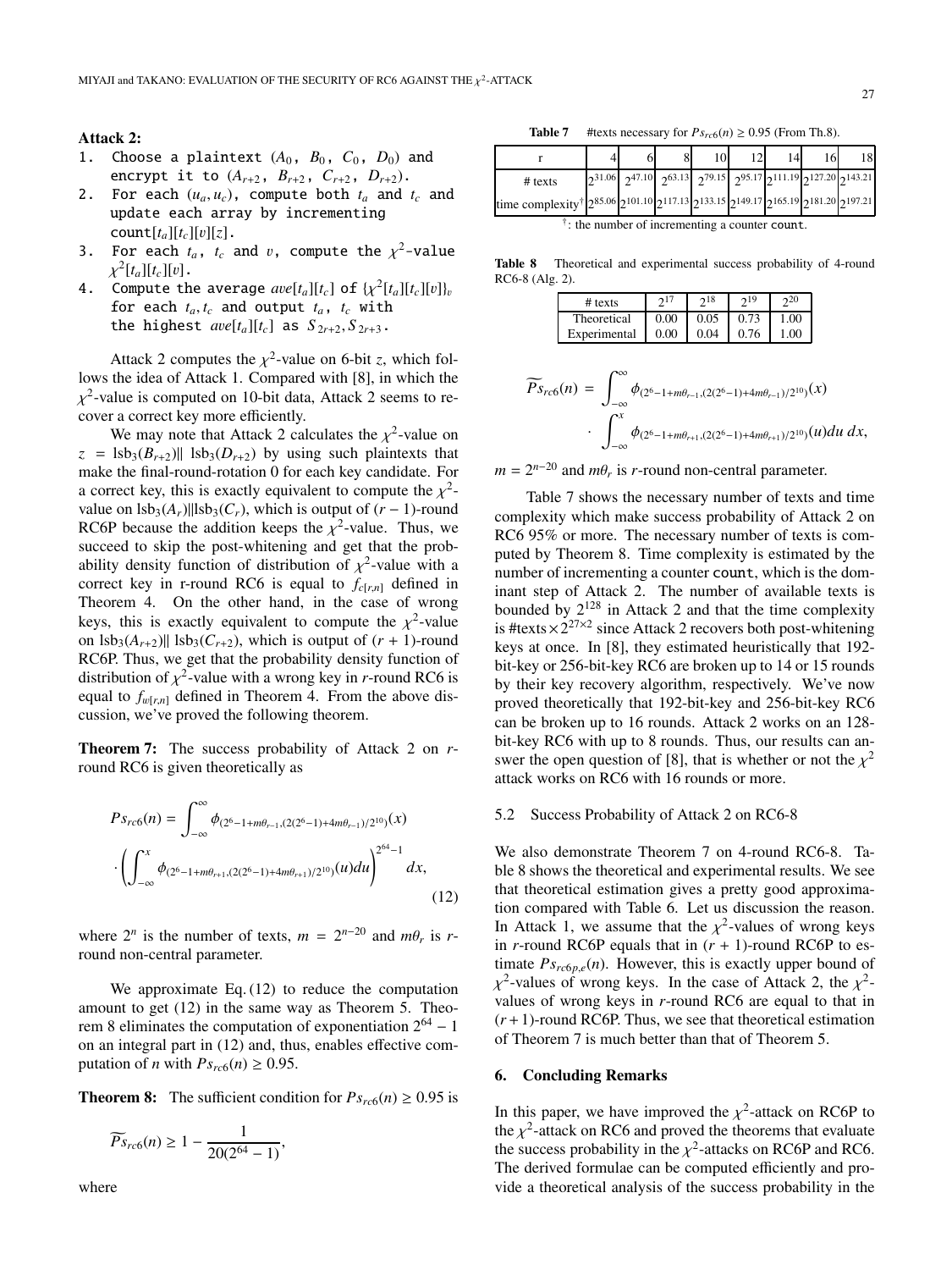#### **Attack 2:**

- 1. Choose a plaintext  $(A_0, B_0, C_0, D_0)$  and encrypt it to  $(A_{r+2}, B_{r+2}, C_{r+2}, D_{r+2})$ .
- 2. For each  $(u_a, u_c)$ , compute both  $t_a$  and  $t_c$  and update each array by incrementing  $count[t_a][t_c][v][z].$
- 3. For each  $t_a$ ,  $t_c$  and  $v$ , compute the  $\chi^2$ -value  $\chi^2[t_a][t_c][v]$ .
- 4. Compute the average  $ave[t_a][t_c]$  of  $\{\chi^2[t_a][t_c][v]\}_v$ for each  $t_a, t_c$  and output  $t_a$ ,  $t_c$  with the highest  $ave[t_a][t_c]$  as  $S_{2r+2}, S_{2r+3}$ .

Attack 2 computes the  $\chi^2$ -value on 6-bit *z*, which follows the idea of Attack 1. Compared with [8], in which the  $\chi^2$ -value is computed on 10-bit data, Attack 2 seems to recover a correct key more efficiently.

We may note that Attack 2 calculates the  $\chi^2$ -value on  $z =$  lsb<sub>3</sub>( $B_{r+2}$ )|| lsb<sub>3</sub>( $D_{r+2}$ ) by using such plaintexts that make the final-round-rotation 0 for each key candidate. For a correct key, this is exactly equivalent to compute the  $\chi^2$ value on  $\text{lsb}_3(A_r)$ || $\text{lsb}_3(C_r)$ , which is output of  $(r-1)$ -round RC6P because the addition keeps the  $\chi^2$ -value. Thus, we succeed to skip the post-whitening and get that the probability density function of distribution of  $\chi^2$ -value with a correct key in r-round RC6 is equal to  $f_{c[r,n]}$  defined in Theorem 4. On the other hand, in the case of wrong keys, this is exactly equivalent to compute the  $\chi^2$ -value on  $\text{lsb}_{3}(A_{r+2})$ ||  $\text{lsb}_{3}(C_{r+2})$ , which is output of  $(r + 1)$ -round RC6P. Thus, we get that the probability density function of distribution of  $\chi^2$ -value with a wrong key in *r*-round RC6 is equal to  $f_{w[r,n]}$  defined in Theorem 4. From the above discussion, we've proved the following theorem.

**Theorem 7:** The success probability of Attack 2 on *r*round RC6 is given theoretically as

$$
P_{S_{rc6}}(n) = \int_{-\infty}^{\infty} \phi_{(2^6 - 1 + m\theta_{r-1}, (2(2^6 - 1) + 4m\theta_{r-1})/2^{10})}(x)
$$

$$
\cdot \left( \int_{-\infty}^x \phi_{(2^6 - 1 + m\theta_{r+1}, (2(2^6 - 1) + 4m\theta_{r+1})/2^{10})}(u) du \right)^{2^{64} - 1} dx,
$$
(12)

where  $2^n$  is the number of texts,  $m = 2^{n-20}$  and  $m\theta_r$  is rround non-central parameter.

We approximate Eq. (12) to reduce the computation amount to get (12) in the same way as Theorem 5. Theorem 8 eliminates the computation of exponentiation  $2^{64} - 1$ on an integral part in (12) and, thus, enables effective computation of *n* with  $Ps_{rc6}(n) \ge 0.95$ .

**Theorem 8:** The sufficient condition for  $Ps_{rc6}(n) \ge 0.95$  is

$$
\widetilde{Ps}_{rc6}(n) \ge 1 - \frac{1}{20(2^{64} - 1)},
$$

where

**Table 7** #texts necessary for  $Ps_{rc6}(n) \ge 0.95$  (From Th.8).

|                                                                                                                                     |  | 10 |  | 16 |                                                                                                    |
|-------------------------------------------------------------------------------------------------------------------------------------|--|----|--|----|----------------------------------------------------------------------------------------------------|
| $#$ texts                                                                                                                           |  |    |  |    | $2^{31.06}$ $2^{47.10}$ $2^{63.13}$ $2^{79.15}$ $2^{95.17}$ $2^{111.19}$ $2^{127.20}$ $2^{143.21}$ |
| time complexity <sup>†</sup> $2^{85.06}$ $2^{101.10}$ $2^{117.13}$ $2^{133.15}$ $2^{149.17}$ $2^{165.19}$ $2^{181.20}$ $2^{197.21}$ |  |    |  |    |                                                                                                    |

 $\dagger$ : the number of incrementing a counter count.

**Table 8** Theoretical and experimental success probability of 4-round RC6-8 (Alg. 2).

| $#$ texts    |      | 218                     | 219 |      |
|--------------|------|-------------------------|-----|------|
| Theoretical  | 0.00 | $0.05 \pm 0.73$         |     | 1.00 |
| Experimental | 0.00 | $\vert 0.04 \vert 0.76$ |     | 1.00 |

$$
\widetilde{Ps}_{rc6}(n) = \int_{-\infty}^{\infty} \phi_{(2^6 - 1 + m\theta_{r-1}, (2(2^6 - 1) + 4m\theta_{r-1})/2^{10})}(x)
$$

$$
\cdot \int_{-\infty}^{x} \phi_{(2^6 - 1 + m\theta_{r+1}, (2(2^6 - 1) + 4m\theta_{r+1})/2^{10})}(u) du dx,
$$

 $m = 2^{n-20}$  and  $m\theta_r$  is *r*-round non-central parameter.

Table 7 shows the necessary number of texts and time complexity which make success probability of Attack 2 on RC6 95% or more. The necessary number of texts is computed by Theorem 8. Time complexity is estimated by the number of incrementing a counter count, which is the dominant step of Attack 2. The number of available texts is bounded by  $2^{128}$  in Attack 2 and that the time complexity is #texts  $\times 2^{27\times2}$  since Attack 2 recovers both post-whitening keys at once. In [8], they estimated heuristically that 192 bit-key or 256-bit-key RC6 are broken up to 14 or 15 rounds by their key recovery algorithm, respectively. We've now proved theoretically that 192-bit-key and 256-bit-key RC6 can be broken up to 16 rounds. Attack 2 works on an 128 bit-key RC6 with up to 8 rounds. Thus, our results can answer the open question of [8], that is whether or not the  $\chi^2$ attack works on RC6 with 16 rounds or more.

#### 5.2 Success Probability of Attack 2 on RC6-8

We also demonstrate Theorem 7 on 4-round RC6-8. Table 8 shows the theoretical and experimental results. We see that theoretical estimation gives a pretty good approximation compared with Table 6. Let us discussion the reason. In Attack 1, we assume that the  $\chi^2$ -values of wrong keys in  $r$ -round RC6P equals that in  $(r + 1)$ -round RC6P to estimate  $Ps_{rc6p,e}(n)$ . However, this is exactly upper bound of  $\chi^2$ -values of wrong keys. In the case of Attack 2, the  $\chi^2$ values of wrong keys in *r*-round RC6 are equal to that in  $(r+1)$ -round RC6P. Thus, we see that theoretical estimation of Theorem 7 is much better than that of Theorem 5.

## **6. Concluding Remarks**

In this paper, we have improved the  $\chi^2$ -attack on RC6P to the  $\chi^2$ -attack on RC6 and proved the theorems that evaluate the success probability in the  $\chi^2$ -attacks on RC6P and RC6. The derived formulae can be computed efficiently and provide a theoretical analysis of the success probability in the